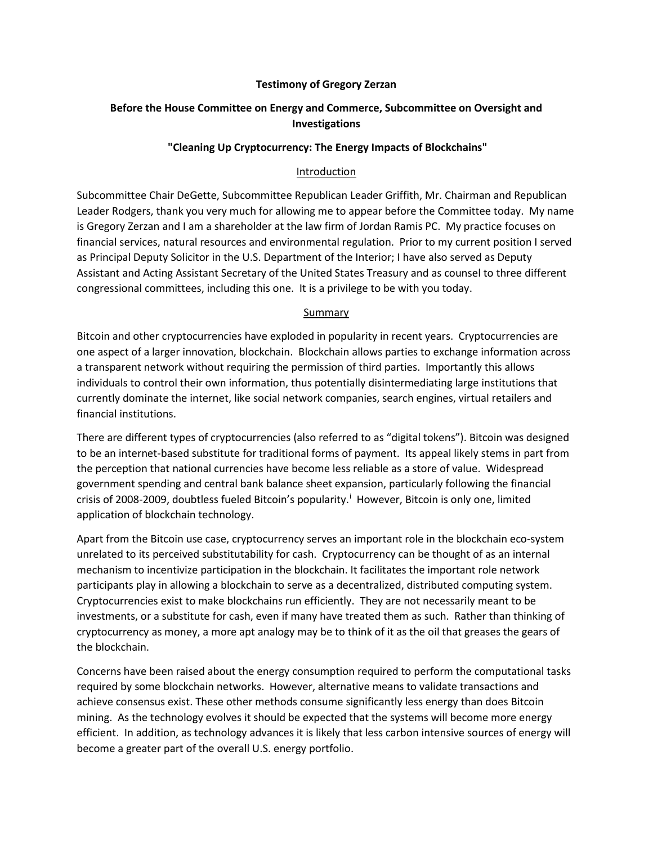## **Testimony of Gregory Zerzan**

# **Before the House Committee on Energy and Commerce, Subcommittee on Oversight and Investigations**

#### **"Cleaning Up Cryptocurrency: The Energy Impacts of Blockchains"**

#### Introduction

Subcommittee Chair DeGette, Subcommittee Republican Leader Griffith, Mr. Chairman and Republican Leader Rodgers, thank you very much for allowing me to appear before the Committee today. My name is Gregory Zerzan and I am a shareholder at the law firm of Jordan Ramis PC. My practice focuses on financial services, natural resources and environmental regulation. Prior to my current position I served as Principal Deputy Solicitor in the U.S. Department of the Interior; I have also served as Deputy Assistant and Acting Assistant Secretary of the United States Treasury and as counsel to three different congressional committees, including this one. It is a privilege to be with you today.

#### Summary

Bitcoin and other cryptocurrencies have exploded in popularity in recent years. Cryptocurrencies are one aspect of a larger innovation, blockchain. Blockchain allows parties to exchange information across a transparent network without requiring the permission of third parties. Importantly this allows individuals to control their own information, thus potentially disintermediating large institutions that currently dominate the internet, like social network companies, search engines, virtual retailers and financial institutions.

There are different types of cryptocurrencies (also referred to as "digital tokens"). Bitcoin was designed to be an internet-based substitute for traditional forms of payment. Its appeal likely stems in part from the perception that national currencies have become less reliable as a store of value. Widespread government spending and central bank balance sheet expansion, particularly following the financial cr[i](#page-7-0)sis of 2008-2009, doubtless fueled Bitcoin's popularity.<sup>i</sup> However, Bitcoin is only one, limited application of blockchain technology.

Apart from the Bitcoin use case, cryptocurrency serves an important role in the blockchain eco-system unrelated to its perceived substitutability for cash. Cryptocurrency can be thought of as an internal mechanism to incentivize participation in the blockchain. It facilitates the important role network participants play in allowing a blockchain to serve as a decentralized, distributed computing system. Cryptocurrencies exist to make blockchains run efficiently. They are not necessarily meant to be investments, or a substitute for cash, even if many have treated them as such. Rather than thinking of cryptocurrency as money, a more apt analogy may be to think of it as the oil that greases the gears of the blockchain.

Concerns have been raised about the energy consumption required to perform the computational tasks required by some blockchain networks. However, alternative means to validate transactions and achieve consensus exist. These other methods consume significantly less energy than does Bitcoin mining. As the technology evolves it should be expected that the systems will become more energy efficient. In addition, as technology advances it is likely that less carbon intensive sources of energy will become a greater part of the overall U.S. energy portfolio.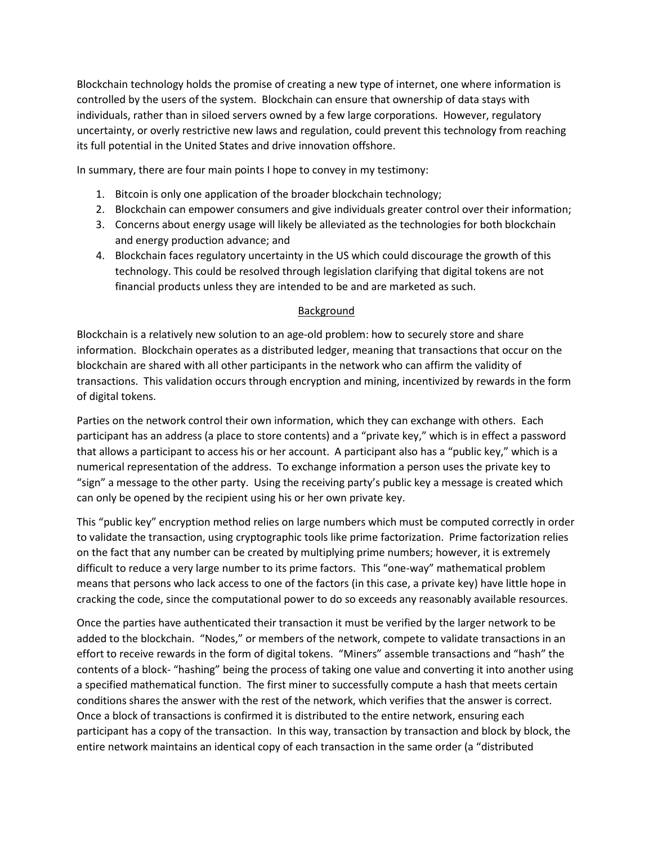Blockchain technology holds the promise of creating a new type of internet, one where information is controlled by the users of the system. Blockchain can ensure that ownership of data stays with individuals, rather than in siloed servers owned by a few large corporations. However, regulatory uncertainty, or overly restrictive new laws and regulation, could prevent this technology from reaching its full potential in the United States and drive innovation offshore.

In summary, there are four main points I hope to convey in my testimony:

- 1. Bitcoin is only one application of the broader blockchain technology;
- 2. Blockchain can empower consumers and give individuals greater control over their information;
- 3. Concerns about energy usage will likely be alleviated as the technologies for both blockchain and energy production advance; and
- 4. Blockchain faces regulatory uncertainty in the US which could discourage the growth of this technology. This could be resolved through legislation clarifying that digital tokens are not financial products unless they are intended to be and are marketed as such.

## **Background**

Blockchain is a relatively new solution to an age-old problem: how to securely store and share information. Blockchain operates as a distributed ledger, meaning that transactions that occur on the blockchain are shared with all other participants in the network who can affirm the validity of transactions. This validation occurs through encryption and mining, incentivized by rewards in the form of digital tokens.

Parties on the network control their own information, which they can exchange with others. Each participant has an address (a place to store contents) and a "private key," which is in effect a password that allows a participant to access his or her account. A participant also has a "public key," which is a numerical representation of the address. To exchange information a person uses the private key to "sign" a message to the other party. Using the receiving party's public key a message is created which can only be opened by the recipient using his or her own private key.

This "public key" encryption method relies on large numbers which must be computed correctly in order to validate the transaction, using cryptographic tools like prime factorization. Prime factorization relies on the fact that any number can be created by multiplying prime numbers; however, it is extremely difficult to reduce a very large number to its prime factors. This "one-way" mathematical problem means that persons who lack access to one of the factors (in this case, a private key) have little hope in cracking the code, since the computational power to do so exceeds any reasonably available resources.

Once the parties have authenticated their transaction it must be verified by the larger network to be added to the blockchain. "Nodes," or members of the network, compete to validate transactions in an effort to receive rewards in the form of digital tokens. "Miners" assemble transactions and "hash" the contents of a block- "hashing" being the process of taking one value and converting it into another using a specified mathematical function. The first miner to successfully compute a hash that meets certain conditions shares the answer with the rest of the network, which verifies that the answer is correct. Once a block of transactions is confirmed it is distributed to the entire network, ensuring each participant has a copy of the transaction. In this way, transaction by transaction and block by block, the entire network maintains an identical copy of each transaction in the same order (a "distributed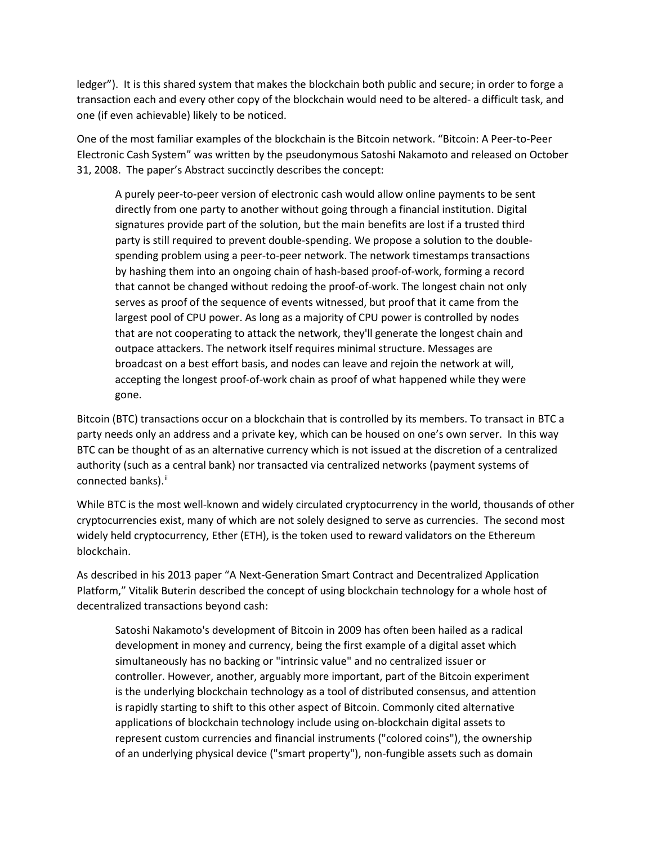ledger"). It is this shared system that makes the blockchain both public and secure; in order to forge a transaction each and every other copy of the blockchain would need to be altered- a difficult task, and one (if even achievable) likely to be noticed.

One of the most familiar examples of the blockchain is the Bitcoin network. "Bitcoin: A Peer-to-Peer Electronic Cash System" was written by the pseudonymous Satoshi Nakamoto and released on October 31, 2008. The paper's Abstract succinctly describes the concept:

A purely peer-to-peer version of electronic cash would allow online payments to be sent directly from one party to another without going through a financial institution. Digital signatures provide part of the solution, but the main benefits are lost if a trusted third party is still required to prevent double-spending. We propose a solution to the doublespending problem using a peer-to-peer network. The network timestamps transactions by hashing them into an ongoing chain of hash-based proof-of-work, forming a record that cannot be changed without redoing the proof-of-work. The longest chain not only serves as proof of the sequence of events witnessed, but proof that it came from the largest pool of CPU power. As long as a majority of CPU power is controlled by nodes that are not cooperating to attack the network, they'll generate the longest chain and outpace attackers. The network itself requires minimal structure. Messages are broadcast on a best effort basis, and nodes can leave and rejoin the network at will, accepting the longest proof-of-work chain as proof of what happened while they were gone.

Bitcoin (BTC) transactions occur on a blockchain that is controlled by its members. To transact in BTC a party needs only an address and a private key, which can be housed on one's own server. In this way BTC can be thought of as an alternative currency which is not issued at the discretion of a centralized authority (such as a central bank) nor transacted via centralized networks (payment systems of connected banks).<sup>[ii](#page-7-1)</sup>

While BTC is the most well-known and widely circulated cryptocurrency in the world, thousands of other cryptocurrencies exist, many of which are not solely designed to serve as currencies. The second most widely held cryptocurrency, Ether (ETH), is the token used to reward validators on the Ethereum blockchain.

As described in his 2013 paper "A Next-Generation Smart Contract and Decentralized Application Platform," Vitalik Buterin described the concept of using blockchain technology for a whole host of decentralized transactions beyond cash:

Satoshi Nakamoto's development of Bitcoin in 2009 has often been hailed as a radical development in money and currency, being the first example of a digital asset which simultaneously has no backing or "intrinsic value" and no centralized issuer or controller. However, another, arguably more important, part of the Bitcoin experiment is the underlying blockchain technology as a tool of distributed consensus, and attention is rapidly starting to shift to this other aspect of Bitcoin. Commonly cited alternative applications of blockchain technology include using on-blockchain digital assets to represent custom currencies and financial instruments ("colored coins"), the ownership of an underlying physical device ("smart property"), non-fungible assets such as domain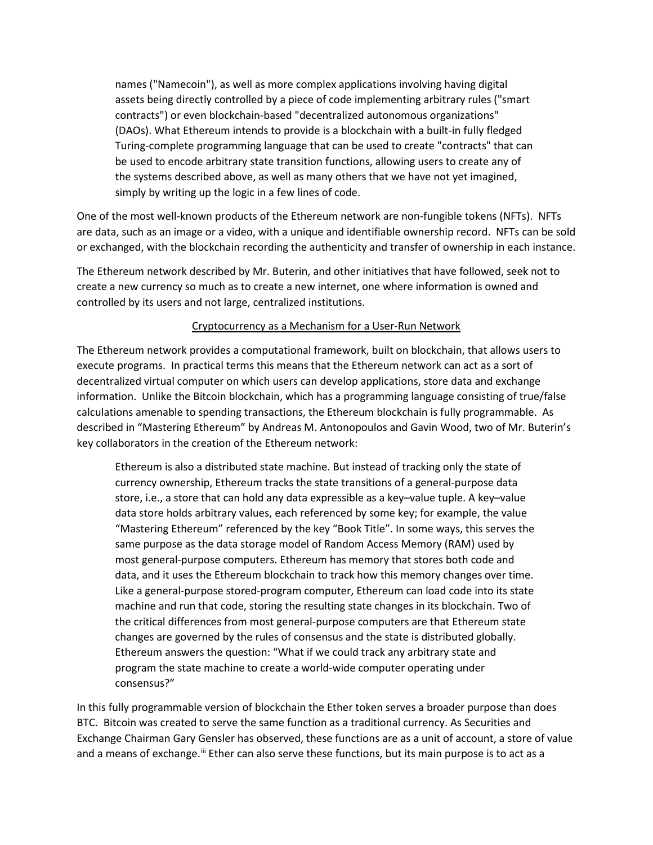names ("Namecoin"), as well as more complex applications involving having digital assets being directly controlled by a piece of code implementing arbitrary rules ("smart contracts") or even blockchain-based "decentralized autonomous organizations" (DAOs). What Ethereum intends to provide is a blockchain with a built-in fully fledged Turing-complete programming language that can be used to create "contracts" that can be used to encode arbitrary state transition functions, allowing users to create any of the systems described above, as well as many others that we have not yet imagined, simply by writing up the logic in a few lines of code.

One of the most well-known products of the Ethereum network are non-fungible tokens (NFTs). NFTs are data, such as an image or a video, with a unique and identifiable ownership record. NFTs can be sold or exchanged, with the blockchain recording the authenticity and transfer of ownership in each instance.

The Ethereum network described by Mr. Buterin, and other initiatives that have followed, seek not to create a new currency so much as to create a new internet, one where information is owned and controlled by its users and not large, centralized institutions.

## Cryptocurrency as a Mechanism for a User-Run Network

The Ethereum network provides a computational framework, built on blockchain, that allows users to execute programs. In practical terms this means that the Ethereum network can act as a sort of decentralized virtual computer on which users can develop applications, store data and exchange information. Unlike the Bitcoin blockchain, which has a programming language consisting of true/false calculations amenable to spending transactions, the Ethereum blockchain is fully programmable. As described in "Mastering Ethereum" by Andreas M. Antonopoulos and Gavin Wood, two of Mr. Buterin's key collaborators in the creation of the Ethereum network:

Ethereum is also a distributed state machine. But instead of tracking only the state of currency ownership, Ethereum tracks the state transitions of a general-purpose data store, i.e., a store that can hold any data expressible as a key–value tuple. A key–value data store holds arbitrary values, each referenced by some key; for example, the value "Mastering Ethereum" referenced by the key "Book Title". In some ways, this serves the same purpose as the data storage model of Random Access Memory (RAM) used by most general-purpose computers. Ethereum has memory that stores both code and data, and it uses the Ethereum blockchain to track how this memory changes over time. Like a general-purpose stored-program computer, Ethereum can load code into its state machine and run that code, storing the resulting state changes in its blockchain. Two of the critical differences from most general-purpose computers are that Ethereum state changes are governed by the rules of consensus and the state is distributed globally. Ethereum answers the question: "What if we could track any arbitrary state and program the state machine to create a world-wide computer operating under consensus?"

In this fully programmable version of blockchain the Ether token serves a broader purpose than does BTC. Bitcoin was created to serve the same function as a traditional currency. As Securities and Exchange Chairman Gary Gensler has observed, these functions are as a unit of account, a store of value and a means of exchange.<sup>[iii](#page-7-2)</sup> Ether can also serve these functions, but its main purpose is to act as a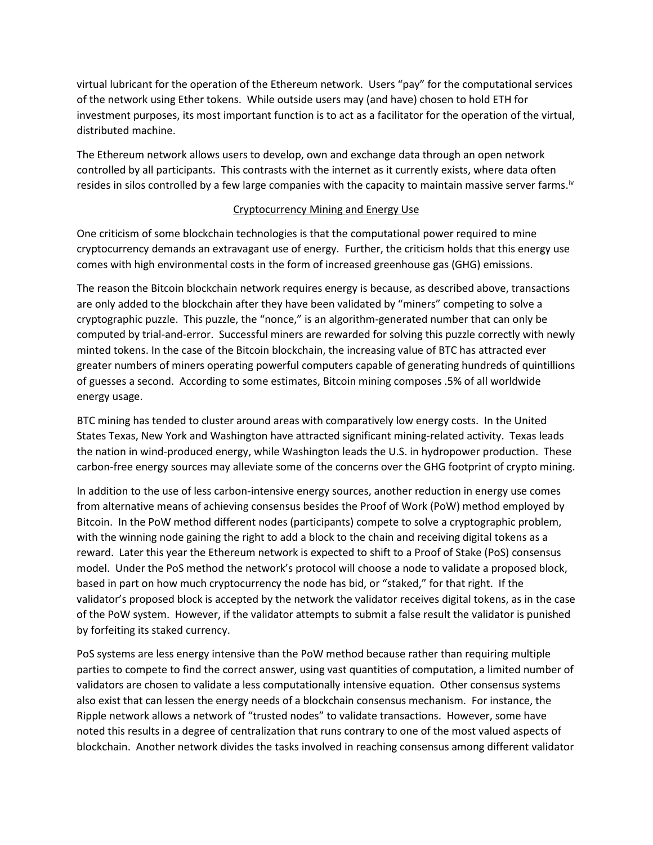virtual lubricant for the operation of the Ethereum network. Users "pay" for the computational services of the network using Ether tokens. While outside users may (and have) chosen to hold ETH for investment purposes, its most important function is to act as a facilitator for the operation of the virtual, distributed machine.

The Ethereum network allows users to develop, own and exchange data through an open network controlled by all participants. This contrasts with the internet as it currently exists, where data often resides in silos controlled by a few large companies with the capacity to maintain mass[iv](#page-7-3)e server farms.<sup>iv</sup>

## Cryptocurrency Mining and Energy Use

One criticism of some blockchain technologies is that the computational power required to mine cryptocurrency demands an extravagant use of energy. Further, the criticism holds that this energy use comes with high environmental costs in the form of increased greenhouse gas (GHG) emissions.

The reason the Bitcoin blockchain network requires energy is because, as described above, transactions are only added to the blockchain after they have been validated by "miners" competing to solve a cryptographic puzzle. This puzzle, the "nonce," is an algorithm-generated number that can only be computed by trial-and-error. Successful miners are rewarded for solving this puzzle correctly with newly minted tokens. In the case of the Bitcoin blockchain, the increasing value of BTC has attracted ever greater numbers of miners operating powerful computers capable of generating hundreds of quintillions of guesses a second. According to some estimates, Bitcoin mining composes .5% of all worldwide energy usage.

BTC mining has tended to cluster around areas with comparatively low energy costs. In the United States Texas, New York and Washington have attracted significant mining-related activity. Texas leads the nation in wind-produced energy, while Washington leads the U.S. in hydropower production. These carbon-free energy sources may alleviate some of the concerns over the GHG footprint of crypto mining.

In addition to the use of less carbon-intensive energy sources, another reduction in energy use comes from alternative means of achieving consensus besides the Proof of Work (PoW) method employed by Bitcoin. In the PoW method different nodes (participants) compete to solve a cryptographic problem, with the winning node gaining the right to add a block to the chain and receiving digital tokens as a reward. Later this year the Ethereum network is expected to shift to a Proof of Stake (PoS) consensus model. Under the PoS method the network's protocol will choose a node to validate a proposed block, based in part on how much cryptocurrency the node has bid, or "staked," for that right. If the validator's proposed block is accepted by the network the validator receives digital tokens, as in the case of the PoW system. However, if the validator attempts to submit a false result the validator is punished by forfeiting its staked currency.

PoS systems are less energy intensive than the PoW method because rather than requiring multiple parties to compete to find the correct answer, using vast quantities of computation, a limited number of validators are chosen to validate a less computationally intensive equation. Other consensus systems also exist that can lessen the energy needs of a blockchain consensus mechanism. For instance, the Ripple network allows a network of "trusted nodes" to validate transactions. However, some have noted this results in a degree of centralization that runs contrary to one of the most valued aspects of blockchain. Another network divides the tasks involved in reaching consensus among different validator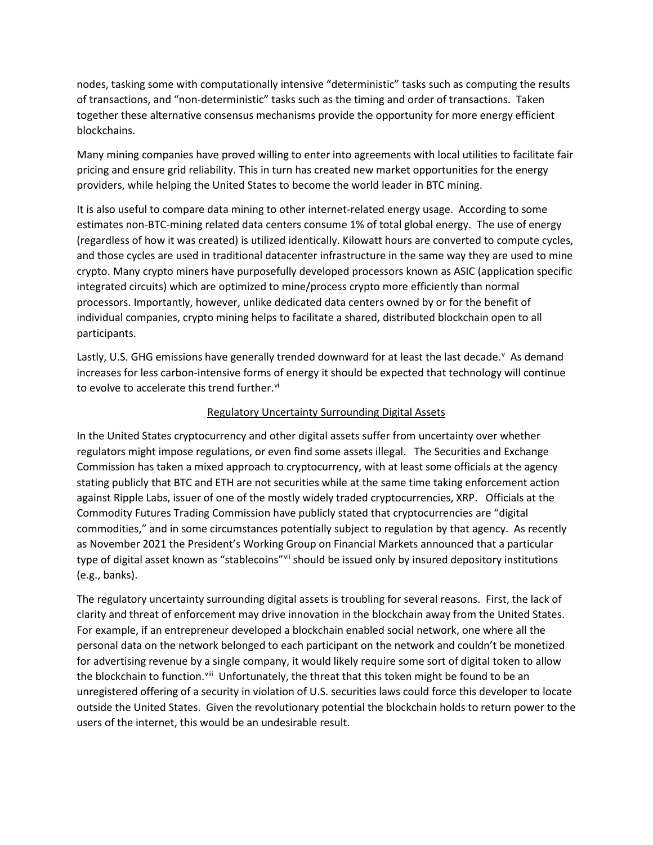nodes, tasking some with computationally intensive "deterministic" tasks such as computing the results of transactions, and "non-deterministic" tasks such as the timing and order of transactions. Taken together these alternative consensus mechanisms provide the opportunity for more energy efficient blockchains.

Many mining companies have proved willing to enter into agreements with local utilities to facilitate fair pricing and ensure grid reliability. This in turn has created new market opportunities for the energy providers, while helping the United States to become the world leader in BTC mining.

It is also useful to compare data mining to other internet-related energy usage. According to some estimates non-BTC-mining related data centers consume 1% of total global energy. The use of energy (regardless of how it was created) is utilized identically. Kilowatt hours are converted to compute cycles, and those cycles are used in traditional datacenter infrastructure in the same way they are used to mine crypto. Many crypto miners have purposefully developed processors known as ASIC (application specific integrated circuits) which are optimized to mine/process crypto more efficiently than normal processors. Importantly, however, unlike dedicated data centers owned by or for the benefit of individual companies, crypto mining helps to facilitate a shared, distributed blockchain open to all participants.

Lastly, U.S. GHG emissions ha[v](#page-7-4)e generally trended downward for at least the last decade.<sup>v</sup> As demand increases for less carbon-intensive forms of energy it should be expected that technology will continue to evolve to accelerate this trend further.<sup>[vi](#page-7-5)</sup>

# Regulatory Uncertainty Surrounding Digital Assets

In the United States cryptocurrency and other digital assets suffer from uncertainty over whether regulators might impose regulations, or even find some assets illegal. The Securities and Exchange Commission has taken a mixed approach to cryptocurrency, with at least some officials at the agency stating publicly that BTC and ETH are not securities while at the same time taking enforcement action against Ripple Labs, issuer of one of the mostly widely traded cryptocurrencies, XRP. Officials at the Commodity Futures Trading Commission have publicly stated that cryptocurrencies are "digital commodities," and in some circumstances potentially subject to regulation by that agency. As recently as November 2021 the President's Working Group on Financial Markets announced that a particular type of digital asset known as "stablecoins" [vii](#page-7-6) should be issued only by insured depository institutions (e.g., banks).

The regulatory uncertainty surrounding digital assets is troubling for several reasons. First, the lack of clarity and threat of enforcement may drive innovation in the blockchain away from the United States. For example, if an entrepreneur developed a blockchain enabled social network, one where all the personal data on the network belonged to each participant on the network and couldn't be monetized for advertising revenue by a single company, it would likely require some sort of digital token to allow the blockchain to function.<sup>[viii](#page-7-7)</sup> Unfortunately, the threat that this token might be found to be an unregistered offering of a security in violation of U.S. securities laws could force this developer to locate outside the United States. Given the revolutionary potential the blockchain holds to return power to the users of the internet, this would be an undesirable result.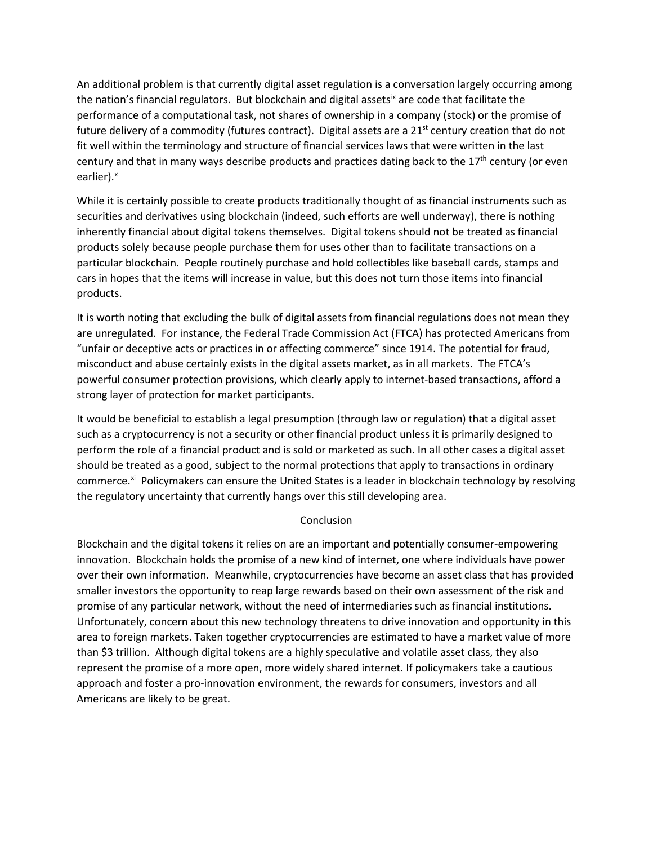An additional problem is that currently digital asset regulation is a conversation largely occurring among the nation's financial regulators. But blockchain and digital assets<sup>[ix](#page-7-8)</sup> are code that facilitate the performance of a computational task, not shares of ownership in a company (stock) or the promise of future delivery of a commodity (futures contract). Digital assets are a  $21^{st}$  century creation that do not fit well within the terminology and structure of financial services laws that were written in the last century and that in many ways describe products and practices dating back to the  $17<sup>th</sup>$  century (or even earlier).<sup>[x](#page-7-9)</sup>

While it is certainly possible to create products traditionally thought of as financial instruments such as securities and derivatives using blockchain (indeed, such efforts are well underway), there is nothing inherently financial about digital tokens themselves. Digital tokens should not be treated as financial products solely because people purchase them for uses other than to facilitate transactions on a particular blockchain. People routinely purchase and hold collectibles like baseball cards, stamps and cars in hopes that the items will increase in value, but this does not turn those items into financial products.

It is worth noting that excluding the bulk of digital assets from financial regulations does not mean they are unregulated. For instance, the Federal Trade Commission Act (FTCA) has protected Americans from "unfair or deceptive acts or practices in or affecting commerce" since 1914. The potential for fraud, misconduct and abuse certainly exists in the digital assets market, as in all markets. The FTCA's powerful consumer protection provisions, which clearly apply to internet-based transactions, afford a strong layer of protection for market participants.

It would be beneficial to establish a legal presumption (through law or regulation) that a digital asset such as a cryptocurrency is not a security or other financial product unless it is primarily designed to perform the role of a financial product and is sold or marketed as such. In all other cases a digital asset should be treated as a good, subject to the normal protections that apply to transactions in ordinary commerce.<sup>[xi](#page-7-10)</sup> Policymakers can ensure the United States is a leader in blockchain technology by resolving the regulatory uncertainty that currently hangs over this still developing area.

## Conclusion

Blockchain and the digital tokens it relies on are an important and potentially consumer-empowering innovation. Blockchain holds the promise of a new kind of internet, one where individuals have power over their own information. Meanwhile, cryptocurrencies have become an asset class that has provided smaller investors the opportunity to reap large rewards based on their own assessment of the risk and promise of any particular network, without the need of intermediaries such as financial institutions. Unfortunately, concern about this new technology threatens to drive innovation and opportunity in this area to foreign markets. Taken together cryptocurrencies are estimated to have a market value of more than \$3 trillion. Although digital tokens are a highly speculative and volatile asset class, they also represent the promise of a more open, more widely shared internet. If policymakers take a cautious approach and foster a pro-innovation environment, the rewards for consumers, investors and all Americans are likely to be great.